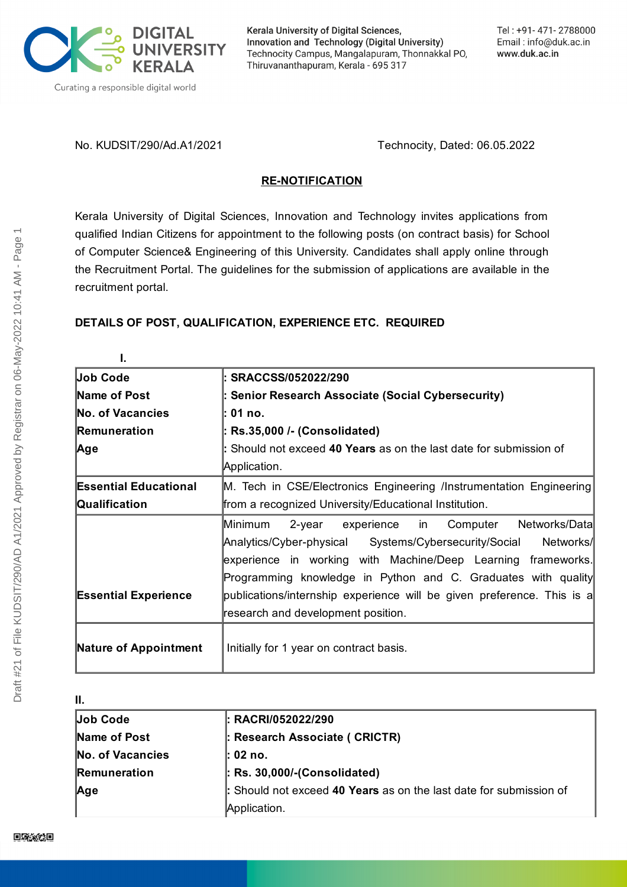

Kerala University of Digital Sciences, Innovation and Technology (Digital University) Technocity Campus, Mangalapuram, Thonnakkal PO, Thiruvananthapuram, Kerala - 695 317

No. KUDSIT/290/Ad.A1/2021 Technocity, Dated: 06.05.2022

# **RE-NOTIFICATION**

Kerala University of Digital Sciences, Innovation and Technology invites applications from qualified Indian Citizens for appointment to the following posts (on contract basis) for School of Computer Science& Engineering of this University. Candidates shall apply online through the Recruitment Portal. The guidelines for the submission of applications are available in the recruitment portal.

# **DETAILS OF POST, QUALIFICATION, EXPERIENCE ETC. REQUIRED**

| Job Code                     | l: SRACCSS/052022/290                                                  |
|------------------------------|------------------------------------------------------------------------|
| Name of Post                 | : Senior Research Associate (Social Cybersecurity)                     |
| <b>No. of Vacancies</b>      | l: 01 no.                                                              |
| Remuneration                 | : Rs.35,000 /- (Consolidated)                                          |
| Age                          | : Should not exceed 40 Years as on the last date for submission of     |
|                              | Application.                                                           |
| <b>Essential Educational</b> | M. Tech in CSE/Electronics Engineering /Instrumentation Engineering    |
| Qualification                | from a recognized University/Educational Institution.                  |
|                              | 2-year experience in Computer Networks/Data<br>Minimum                 |
|                              | Analytics/Cyber-physical Systems/Cybersecurity/Social<br>Networks/     |
|                              | experience in working with Machine/Deep Learning frameworks.           |
|                              | Programming knowledge in Python and C. Graduates with quality          |
| <b>Essential Experience</b>  | publications/internship experience will be given preference. This is a |
|                              | research and development position.                                     |
| Nature of Appointment        | Initially for 1 year on contract basis.                                |

#### **II.**

| <b>Job Code</b>         | $\vdash$ RACRI/052022/290                                          |
|-------------------------|--------------------------------------------------------------------|
| Name of Post            | : Research Associate ( CRICTR)                                     |
| <b>No. of Vacancies</b> | l: 02 no.                                                          |
| Remuneration            | $\vert$ : Rs. 30,000/-(Consolidated)                               |
| Age                     | : Should not exceed 40 Years as on the last date for submission of |
|                         | Application.                                                       |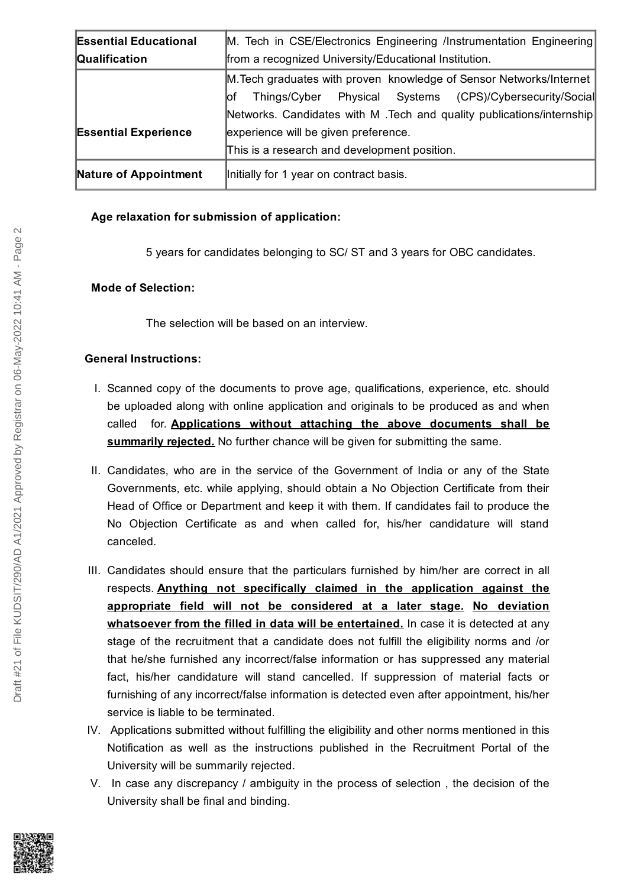| <b>Essential Educational</b> | M. Tech in CSE/Electronics Engineering /Instrumentation Engineering    |
|------------------------------|------------------------------------------------------------------------|
| <b>Qualification</b>         | from a recognized University/Educational Institution.                  |
|                              | M. Tech graduates with proven knowledge of Sensor Networks/Internet    |
|                              | Things/Cyber Physical Systems (CPS)/Cybersecurity/Social<br>lof        |
|                              | Networks. Candidates with M . Tech and quality publications/internship |
| <b>Essential Experience</b>  | experience will be given preference.                                   |
|                              | This is a research and development position.                           |
| Nature of Appointment        | Initially for 1 year on contract basis.                                |

# **Age relaxation for submission of application:**

5 years for candidates belonging to SC/ ST and 3 years for OBC candidates.

#### **Mode of Selection:**

The selection will be based on an interview.

# **General Instructions:**

- I. Scanned copy of the documents to prove age, qualifications, experience, etc. should be uploaded along with online application and originals to be produced as and when called for. **Applications without attaching the above documents shall be summarily rejected.** No further chance will be given for submitting the same.
- II. Candidates, who are in the service of the Government of India or any of the State Governments, etc. while applying, should obtain a No Objection Certificate from their Head of Office or Department and keep it with them. If candidates fail to produce the No Objection Certificate as and when called for, his/her candidature will stand canceled.
- III. Candidates should ensure that the particulars furnished by him/her are correct in all respects. **Anything not specifically claimed in the application against the appropriate field will not be considered at a later stage. No deviation whatsoever from the filled in data will be entertained.** In case it is detected at any stage of the recruitment that a candidate does not fulfill the eligibility norms and /or that he/she furnished any incorrect/false information or has suppressed any material fact, his/her candidature will stand cancelled. If suppression of material facts or furnishing of any incorrect/false information is detected even after appointment, his/her service is liable to be terminated.
- IV. Applications submitted without fulfilling the eligibility and other norms mentioned in this Notification as well as the instructions published in the Recruitment Portal of the University will be summarily rejected.
- V. In case any discrepancy / ambiguity in the process of selection , the decision of the University shall be final and binding.